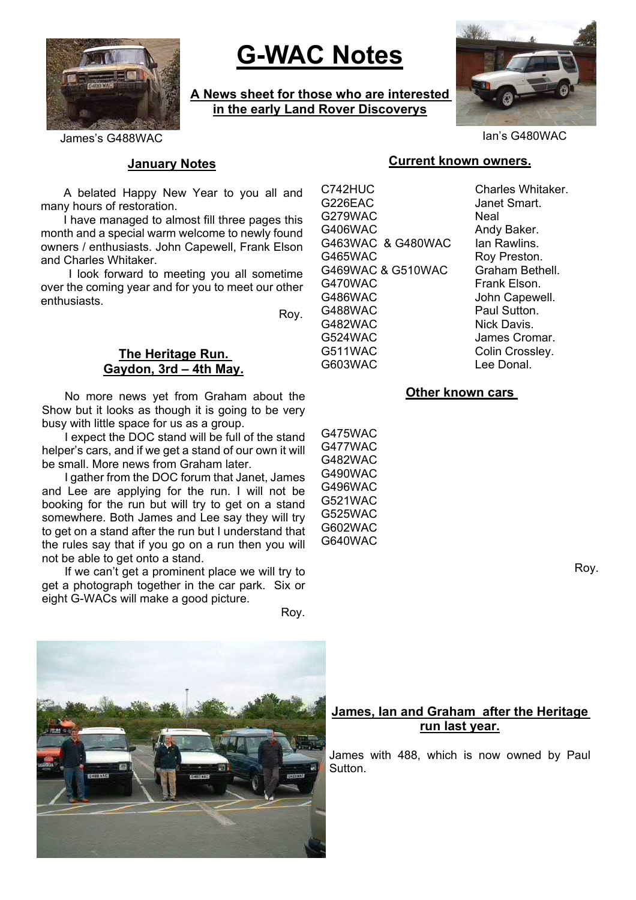

# **G-WAC Notes**

**A News sheet for those who are interested in the early Land Rover Discoverys**



James's G488WAC Ian's G480WAC

# **January Notes**

A belated Happy New Year to you all and many hours of restoration.

I have managed to almost fill three pages this month and a special warm welcome to newly found owners / enthusiasts. John Capewell, Frank Elson and Charles Whitaker.

 I look forward to meeting you all sometime over the coming year and for you to meet our other enthusiasts.

Roy.

### **The Heritage Run. Gaydon, 3rd – 4th May.**

No more news yet from Graham about the Show but it looks as though it is going to be very busy with little space for us as a group.

I expect the DOC stand will be full of the stand helper's cars, and if we get a stand of our own it will be small. More news from Graham later.

I gather from the DOC forum that Janet, James and Lee are applying for the run. I will not be booking for the run but will try to get on a stand somewhere. Both James and Lee say they will try to get on a stand after the run but I understand that the rules say that if you go on a run then you will not be able to get onto a stand.

If we can't get a prominent place we will try to get a photograph together in the car park. Six or eight G-WACs will make a good picture.

Roy.



# **Current known owners.**

C742HUC Charles Whitaker. G226EAC Janet Smart. G279WAC Neal G406WAC Andy Baker. G463WAC & G480WAC Ian Rawlins G465WAC Roy Preston. G469WAC & G510WAC Graham Bethell. G470WAC Frank Elson. G486WAC John Capewell. G488WAC Paul Sutton. G482WAC Nick Davis. G524WAC James Cromar. G511WAC Colin Crossley. G603WAC Lee Donal.

### **Other known cars**

G475WAC G477WAC G482WAC G490WAC G496WAC G521WAC G525WAC G602WAC G640WAC

Roy.

# **James, Ian and Graham after the Heritage run last year.**

James with 488, which is now owned by Paul Sutton.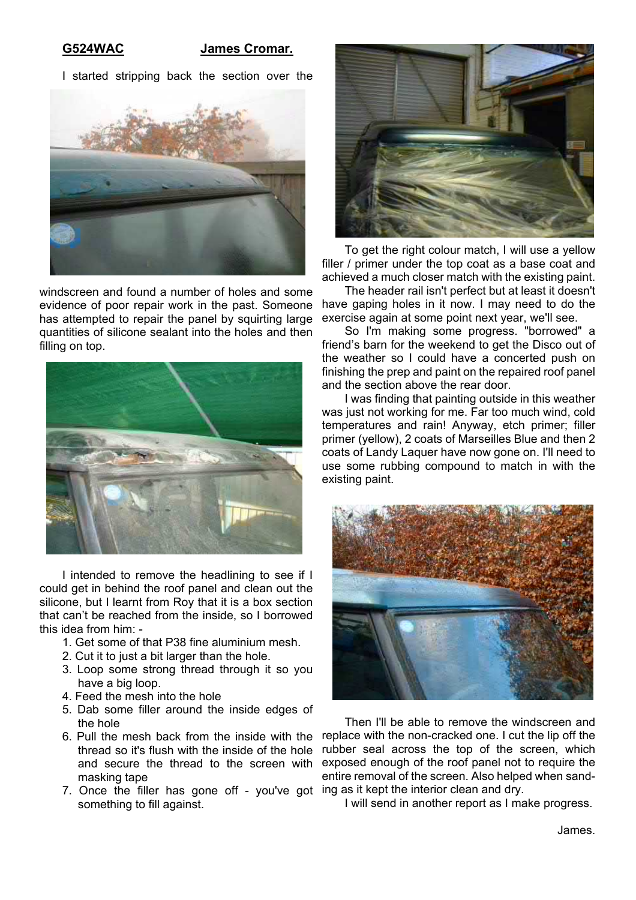#### **G524WAC James Cromar.**

I started stripping back the section over the



windscreen and found a number of holes and some evidence of poor repair work in the past. Someone has attempted to repair the panel by squirting large quantities of silicone sealant into the holes and then filling on top.



I intended to remove the headlining to see if I could get in behind the roof panel and clean out the silicone, but I learnt from Roy that it is a box section that can't be reached from the inside, so I borrowed this idea from him: -

- 1. Get some of that P38 fine aluminium mesh.
- 2. Cut it to just a bit larger than the hole.
- 3. Loop some strong thread through it so you have a big loop.
- 4. Feed the mesh into the hole
- 5. Dab some filler around the inside edges of the hole
- thread so it's flush with the inside of the hole masking tape
- 7. Once the filler has gone off you've got ing as it kept the interior clean and dry. something to fill against.



To get the right colour match, I will use a yellow filler / primer under the top coat as a base coat and achieved a much closer match with the existing paint.

The header rail isn't perfect but at least it doesn't have gaping holes in it now. I may need to do the exercise again at some point next year, we'll see.

So I'm making some progress. "borrowed" a friend's barn for the weekend to get the Disco out of the weather so I could have a concerted push on finishing the prep and paint on the repaired roof panel and the section above the rear door.

I was finding that painting outside in this weather was just not working for me. Far too much wind, cold temperatures and rain! Anyway, etch primer; filler primer (yellow), 2 coats of Marseilles Blue and then 2 coats of Landy Laquer have now gone on. I'll need to use some rubbing compound to match in with the existing paint.



6. Pull the mesh back from the inside with the replace with the non-cracked one. I cut the lip off the and secure the thread to the screen with exposed enough of the roof panel not to require the Then I'll be able to remove the windscreen and rubber seal across the top of the screen, which entire removal of the screen. Also helped when sand-

I will send in another report as I make progress.

James.